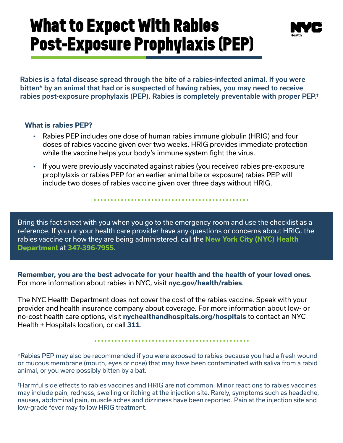## **What to Expect With Rabies Post-Exposure Prophylaxis (PEP)**



Rabies is a fatal disease spread through the bite of a rabies-infected animal. If you were bitten\* by an animal that had or is suspected of having rabies, you may need to receive rabies post-exposure prophylaxis (PEP). Rabies is completely preventable with proper PEP.†

## **What is rabies PEP?**

- Rabies PEP includes one dose of human rabies immune globulin (HRIG) and four doses of rabies vaccine given over two weeks. HRIG provides immediate protection while the vaccine helps your body's immune system fight the virus.
- If you were previously vaccinated against rabies (you received rabies pre-exposure prophylaxis or rabies PEP for an earlier animal bite or exposure) rabies PEP will include two doses of rabies vaccine given over three days without HRIG.

Bring this fact sheet with you when you go to the emergency room and use the checklist as a reference. If you or your health care provider have any questions or concerns about HRIG, the rabies vaccine or how they are being administered, call the **New York City (NYC) Health Department** at **347-396-7955**.

**Remember, you are the best advocate for your health and the health of your loved ones**. For more information about rabies in NYC, visit **[nyc.gov/health/rabies](https://www1.nyc.gov/site/doh/health/health-topics/rabies.page)**.

The NYC Health Department does not cover the cost of the rabies vaccine. Speak with your provider and health insurance company about coverage. For more information about low- or no-cost health care options, visit **[nychealthandhospitals.org/hospitals](https://www.nychealthandhospitals.org/hospitals/)** to contact an NYC Health + Hospitals location, or call **311**.

\*Rabies PEP may also be recommended if you were exposed to rabies because you had a fresh wound or mucous membrane (mouth, eyes or nose) that may have been contaminated with saliva from a rabid animal, or you were possibly bitten by a bat.

†Harmful side effects to rabies vaccines and HRIG are not common. Minor reactions to rabies vaccines may include pain, redness, swelling or itching at the injection site. Rarely, symptoms such as headache, nausea, abdominal pain, muscle aches and dizziness have been reported. Pain at the injection site and low-grade fever may follow HRIG treatment.